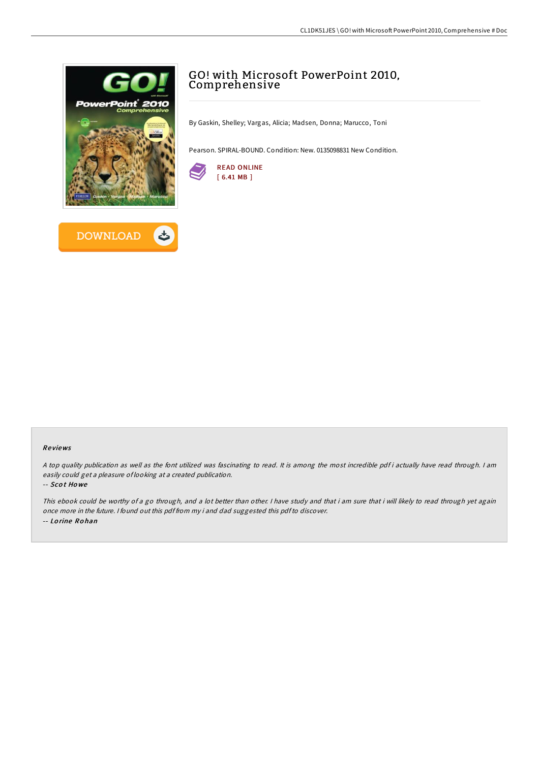



# GO! with Microsoft PowerPoint 2010, Comprehensive

By Gaskin, Shelley; Vargas, Alicia; Madsen, Donna; Marucco, Toni

Pearson. SPIRAL-BOUND. Condition: New. 0135098831 New Condition.



#### Re views

<sup>A</sup> top quality publication as well as the font utilized was fascinating to read. It is among the most incredible pdf i actually have read through. <sup>I</sup> am easily could get <sup>a</sup> pleasure of looking at <sup>a</sup> created publication.

#### -- Sco t Ho we

This ebook could be worthy of a go through, and a lot better than other. I have study and that i am sure that i will likely to read through yet again once more in the future. <sup>I</sup> found out this pdf from my i and dad suggested this pdfto discover. -- Lo rine Ro han